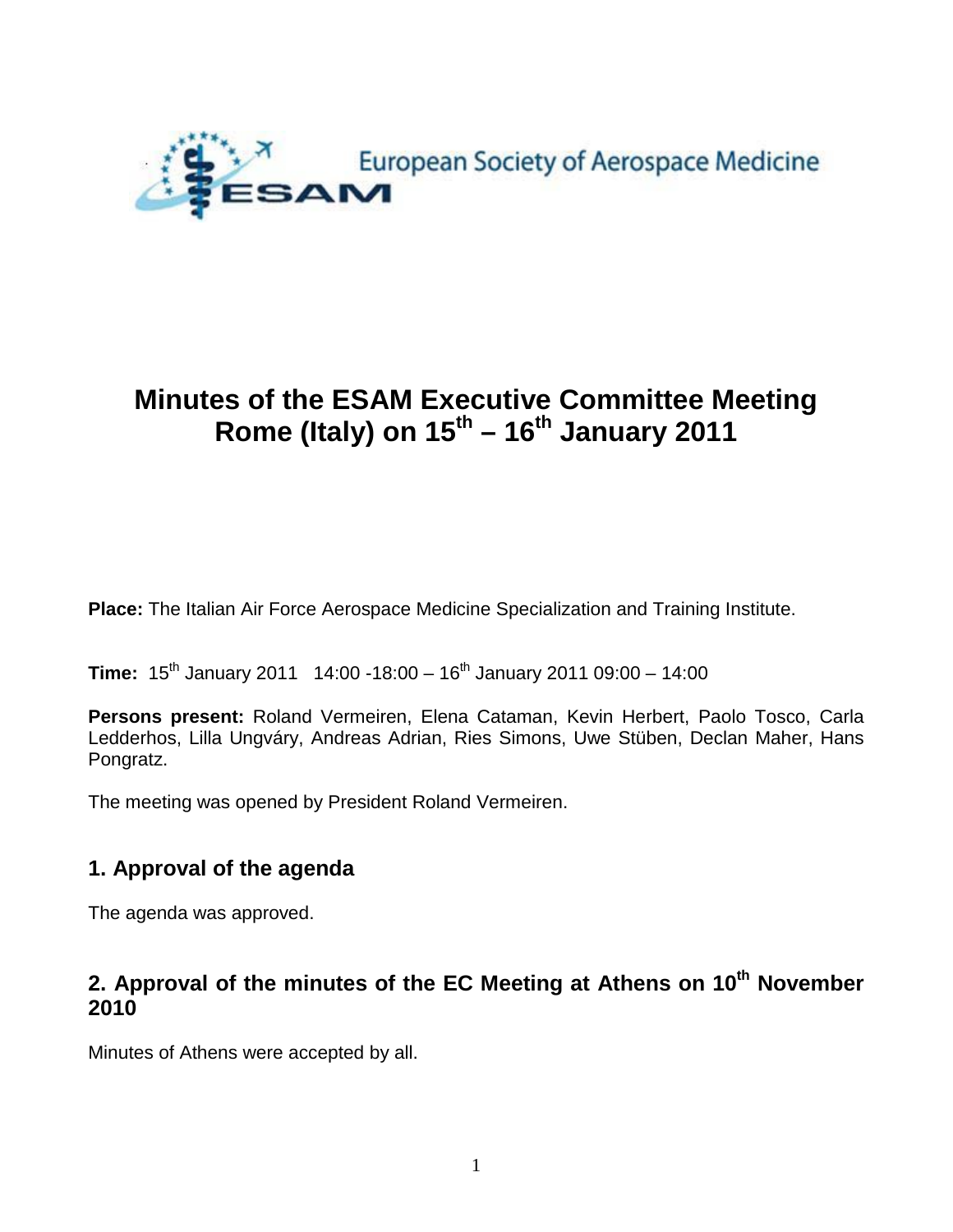

# **Minutes of the ESAM Executive Committee Meeting Rome (Italy) on 15th – 16th January 2011**

**Place:** The Italian Air Force Aerospace Medicine Specialization and Training Institute.

**Time:**  $15^{th}$  January 2011 14:00 -18:00 -  $16^{th}$  January 2011 09:00 - 14:00

**Persons present:** Roland Vermeiren, Elena Cataman, Kevin Herbert, Paolo Tosco, Carla Ledderhos, Lilla Ungváry, Andreas Adrian, Ries Simons, Uwe Stüben, Declan Maher, Hans Pongratz.

The meeting was opened by President Roland Vermeiren.

## **1. Approval of the agenda**

The agenda was approved.

## **2. Approval of the minutes of the EC Meeting at Athens on 10th November 2010**

Minutes of Athens were accepted by all.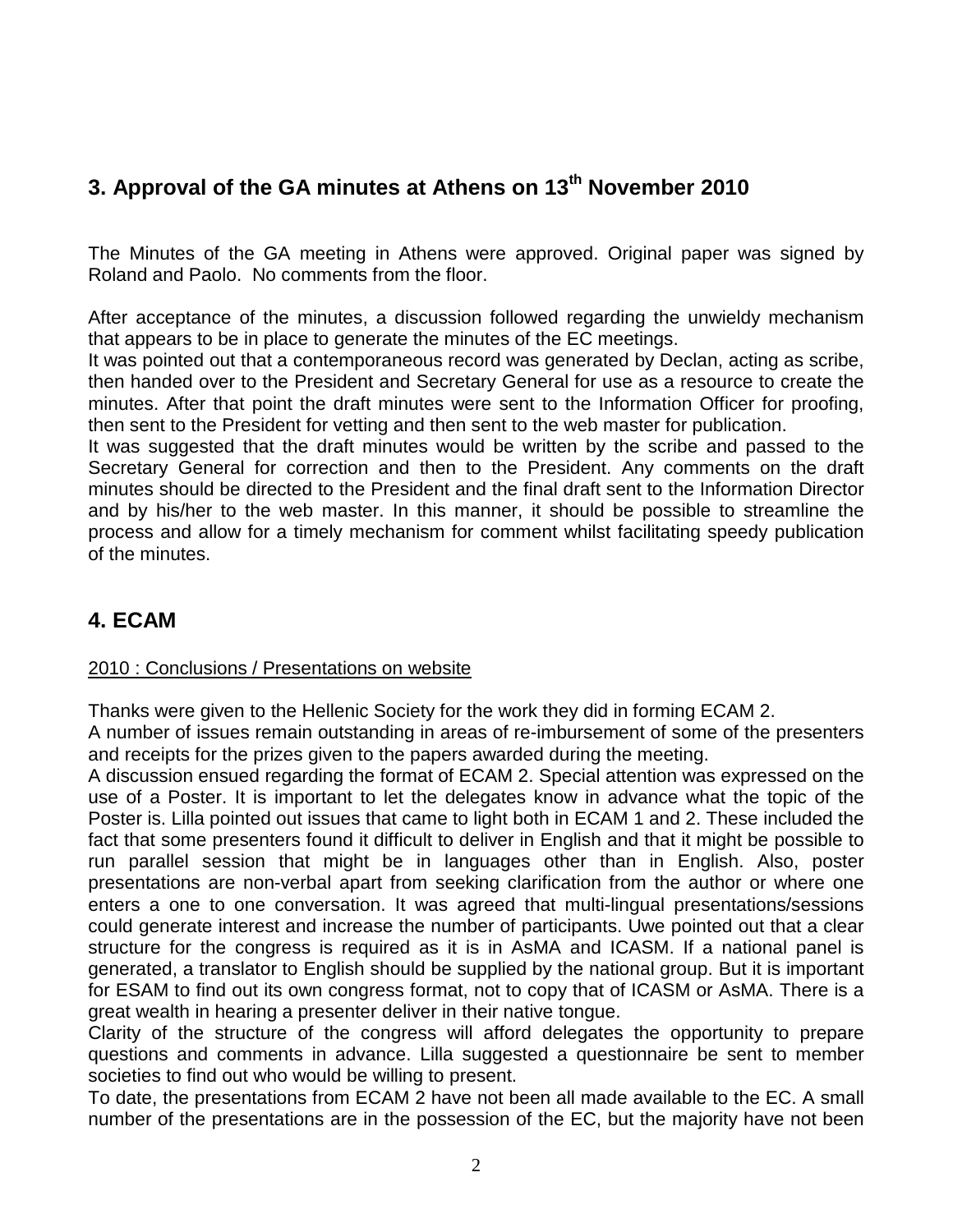## **3. Approval of the GA minutes at Athens on 13th November 2010**

The Minutes of the GA meeting in Athens were approved. Original paper was signed by Roland and Paolo. No comments from the floor.

After acceptance of the minutes, a discussion followed regarding the unwieldy mechanism that appears to be in place to generate the minutes of the EC meetings.

It was pointed out that a contemporaneous record was generated by Declan, acting as scribe, then handed over to the President and Secretary General for use as a resource to create the minutes. After that point the draft minutes were sent to the Information Officer for proofing, then sent to the President for vetting and then sent to the web master for publication.

It was suggested that the draft minutes would be written by the scribe and passed to the Secretary General for correction and then to the President. Any comments on the draft minutes should be directed to the President and the final draft sent to the Information Director and by his/her to the web master. In this manner, it should be possible to streamline the process and allow for a timely mechanism for comment whilst facilitating speedy publication of the minutes.

## **4. ECAM**

### 2010 : Conclusions / Presentations on website

Thanks were given to the Hellenic Society for the work they did in forming ECAM 2.

A number of issues remain outstanding in areas of re-imbursement of some of the presenters and receipts for the prizes given to the papers awarded during the meeting.

A discussion ensued regarding the format of ECAM 2. Special attention was expressed on the use of a Poster. It is important to let the delegates know in advance what the topic of the Poster is. Lilla pointed out issues that came to light both in ECAM 1 and 2. These included the fact that some presenters found it difficult to deliver in English and that it might be possible to run parallel session that might be in languages other than in English. Also, poster presentations are non-verbal apart from seeking clarification from the author or where one enters a one to one conversation. It was agreed that multi-lingual presentations/sessions could generate interest and increase the number of participants. Uwe pointed out that a clear structure for the congress is required as it is in AsMA and ICASM. If a national panel is generated, a translator to English should be supplied by the national group. But it is important for ESAM to find out its own congress format, not to copy that of ICASM or AsMA. There is a great wealth in hearing a presenter deliver in their native tongue.

Clarity of the structure of the congress will afford delegates the opportunity to prepare questions and comments in advance. Lilla suggested a questionnaire be sent to member societies to find out who would be willing to present.

To date, the presentations from ECAM 2 have not been all made available to the EC. A small number of the presentations are in the possession of the EC, but the majority have not been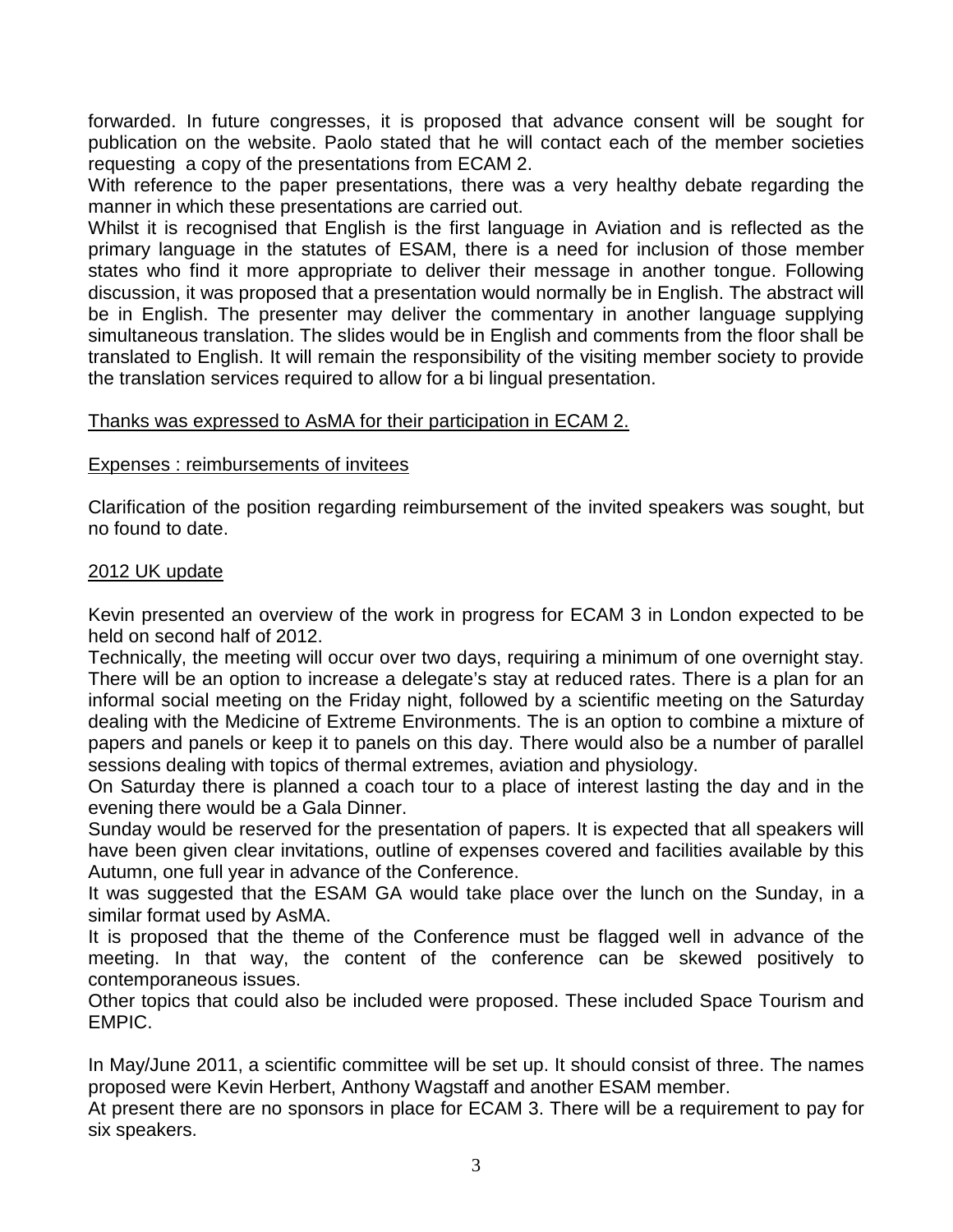forwarded. In future congresses, it is proposed that advance consent will be sought for publication on the website. Paolo stated that he will contact each of the member societies requesting a copy of the presentations from ECAM 2.

With reference to the paper presentations, there was a very healthy debate regarding the manner in which these presentations are carried out.

Whilst it is recognised that English is the first language in Aviation and is reflected as the primary language in the statutes of ESAM, there is a need for inclusion of those member states who find it more appropriate to deliver their message in another tongue. Following discussion, it was proposed that a presentation would normally be in English. The abstract will be in English. The presenter may deliver the commentary in another language supplying simultaneous translation. The slides would be in English and comments from the floor shall be translated to English. It will remain the responsibility of the visiting member society to provide the translation services required to allow for a bi lingual presentation.

## Thanks was expressed to AsMA for their participation in ECAM 2.

### Expenses : reimbursements of invitees

Clarification of the position regarding reimbursement of the invited speakers was sought, but no found to date.

### 2012 UK update

Kevin presented an overview of the work in progress for ECAM 3 in London expected to be held on second half of 2012.

Technically, the meeting will occur over two days, requiring a minimum of one overnight stay. There will be an option to increase a delegate's stay at reduced rates. There is a plan for an informal social meeting on the Friday night, followed by a scientific meeting on the Saturday dealing with the Medicine of Extreme Environments. The is an option to combine a mixture of papers and panels or keep it to panels on this day. There would also be a number of parallel sessions dealing with topics of thermal extremes, aviation and physiology.

On Saturday there is planned a coach tour to a place of interest lasting the day and in the evening there would be a Gala Dinner.

Sunday would be reserved for the presentation of papers. It is expected that all speakers will have been given clear invitations, outline of expenses covered and facilities available by this Autumn, one full year in advance of the Conference.

It was suggested that the ESAM GA would take place over the lunch on the Sunday, in a similar format used by AsMA.

It is proposed that the theme of the Conference must be flagged well in advance of the meeting. In that way, the content of the conference can be skewed positively to contemporaneous issues.

Other topics that could also be included were proposed. These included Space Tourism and EMPIC.

In May/June 2011, a scientific committee will be set up. It should consist of three. The names proposed were Kevin Herbert, Anthony Wagstaff and another ESAM member.

At present there are no sponsors in place for ECAM 3. There will be a requirement to pay for six speakers.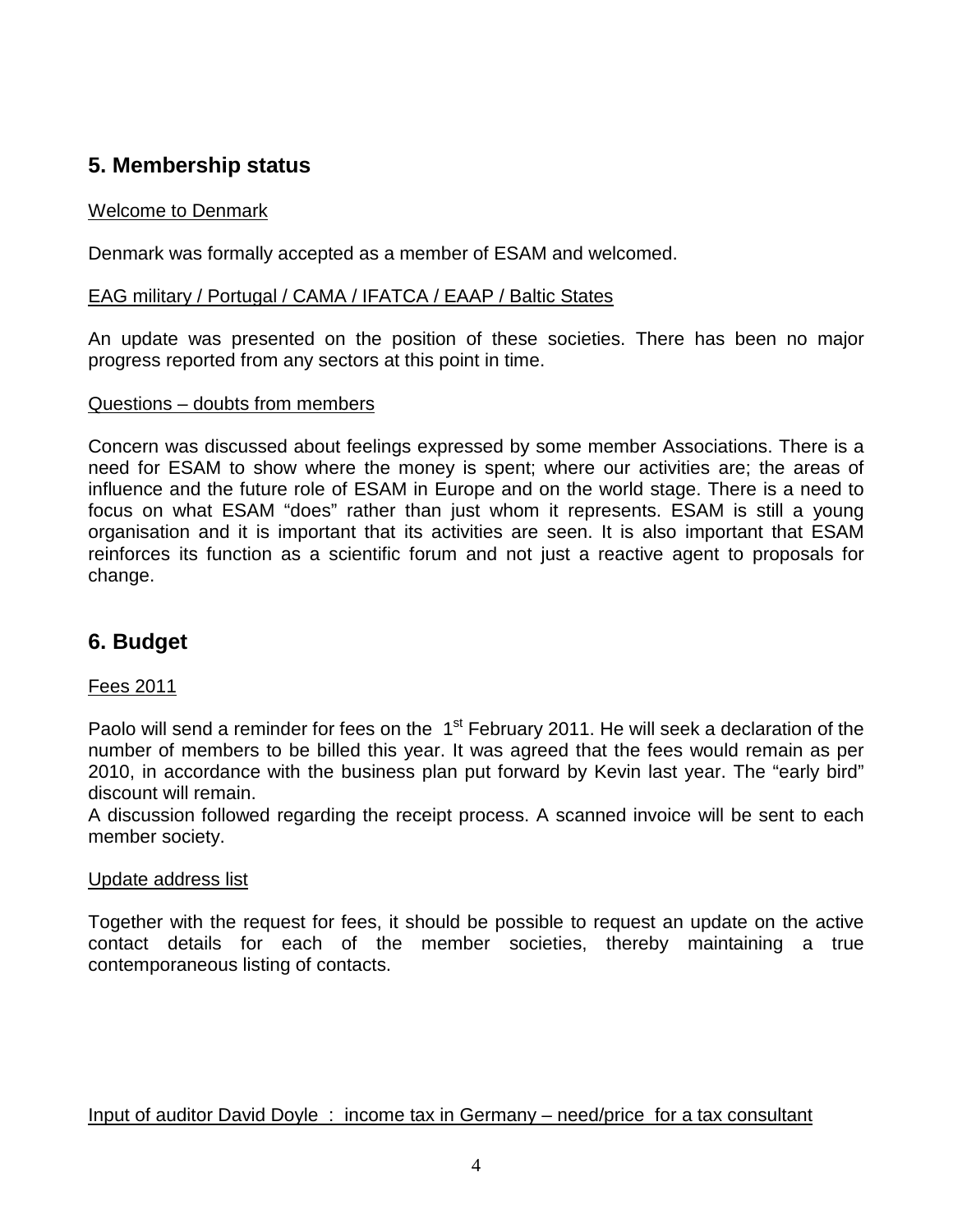## **5. Membership status**

## Welcome to Denmark

Denmark was formally accepted as a member of ESAM and welcomed.

#### EAG military / Portugal / CAMA / IFATCA / EAAP / Baltic States

An update was presented on the position of these societies. There has been no major progress reported from any sectors at this point in time.

#### Questions – doubts from members

Concern was discussed about feelings expressed by some member Associations. There is a need for ESAM to show where the money is spent; where our activities are; the areas of influence and the future role of ESAM in Europe and on the world stage. There is a need to focus on what ESAM "does" rather than just whom it represents. ESAM is still a young organisation and it is important that its activities are seen. It is also important that ESAM reinforces its function as a scientific forum and not just a reactive agent to proposals for change.

## **6. Budget**

### Fees 2011

Paolo will send a reminder for fees on the 1<sup>st</sup> February 2011. He will seek a declaration of the number of members to be billed this year. It was agreed that the fees would remain as per 2010, in accordance with the business plan put forward by Kevin last year. The "early bird" discount will remain.

A discussion followed regarding the receipt process. A scanned invoice will be sent to each member society.

### Update address list

Together with the request for fees, it should be possible to request an update on the active contact details for each of the member societies, thereby maintaining a true contemporaneous listing of contacts.

Input of auditor David Doyle : income tax in Germany – need/price for a tax consultant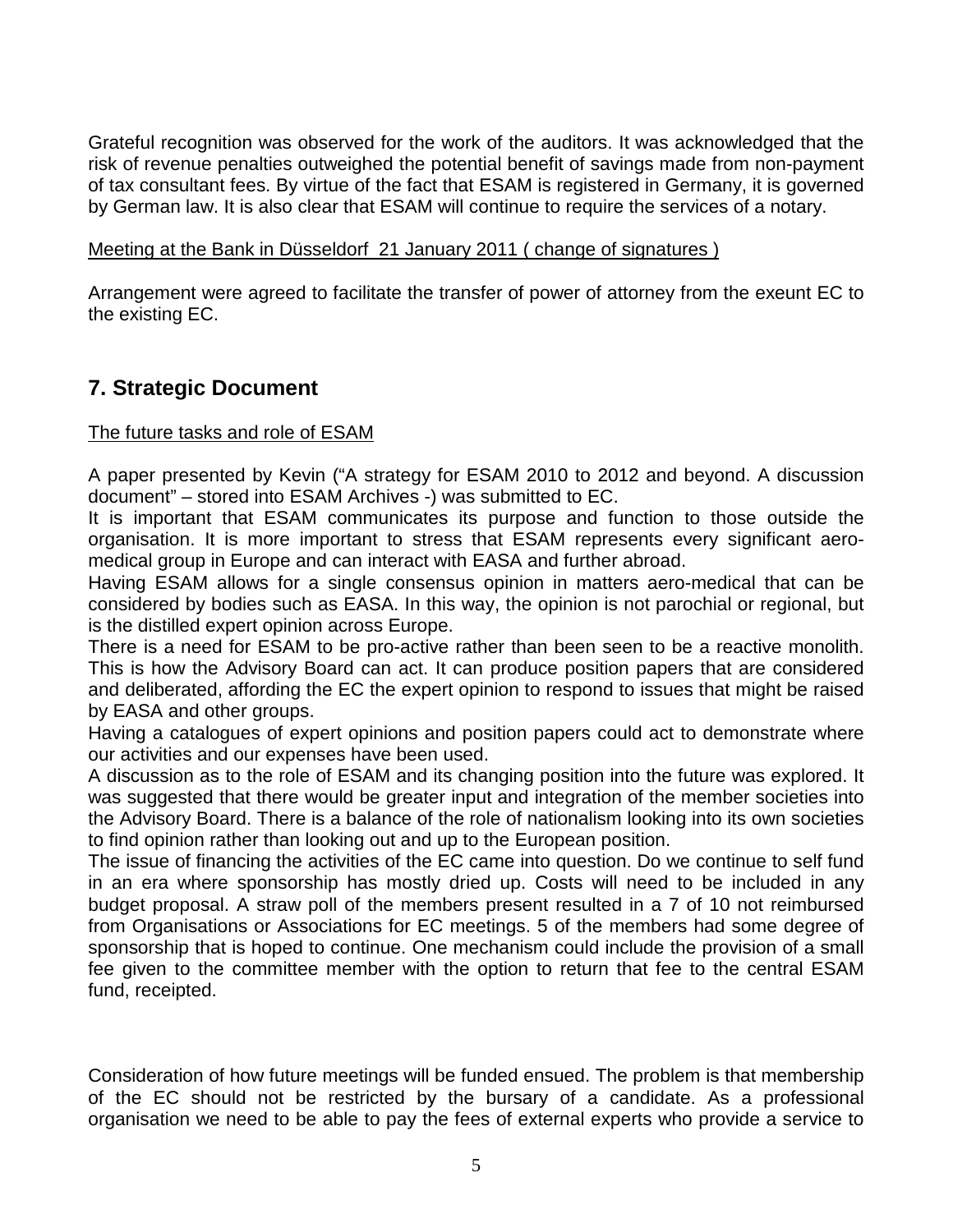Grateful recognition was observed for the work of the auditors. It was acknowledged that the risk of revenue penalties outweighed the potential benefit of savings made from non-payment of tax consultant fees. By virtue of the fact that ESAM is registered in Germany, it is governed by German law. It is also clear that ESAM will continue to require the services of a notary.

## Meeting at the Bank in Düsseldorf 21 January 2011 ( change of signatures )

Arrangement were agreed to facilitate the transfer of power of attorney from the exeunt EC to the existing EC.

## **7. Strategic Document**

## The future tasks and role of ESAM

A paper presented by Kevin ("A strategy for ESAM 2010 to 2012 and beyond. A discussion document" – stored into ESAM Archives -) was submitted to EC.

It is important that ESAM communicates its purpose and function to those outside the organisation. It is more important to stress that ESAM represents every significant aeromedical group in Europe and can interact with EASA and further abroad.

Having ESAM allows for a single consensus opinion in matters aero-medical that can be considered by bodies such as EASA. In this way, the opinion is not parochial or regional, but is the distilled expert opinion across Europe.

There is a need for ESAM to be pro-active rather than been seen to be a reactive monolith. This is how the Advisory Board can act. It can produce position papers that are considered and deliberated, affording the EC the expert opinion to respond to issues that might be raised by EASA and other groups.

Having a catalogues of expert opinions and position papers could act to demonstrate where our activities and our expenses have been used.

A discussion as to the role of ESAM and its changing position into the future was explored. It was suggested that there would be greater input and integration of the member societies into the Advisory Board. There is a balance of the role of nationalism looking into its own societies to find opinion rather than looking out and up to the European position.

The issue of financing the activities of the EC came into question. Do we continue to self fund in an era where sponsorship has mostly dried up. Costs will need to be included in any budget proposal. A straw poll of the members present resulted in a 7 of 10 not reimbursed from Organisations or Associations for EC meetings. 5 of the members had some degree of sponsorship that is hoped to continue. One mechanism could include the provision of a small fee given to the committee member with the option to return that fee to the central ESAM fund, receipted.

Consideration of how future meetings will be funded ensued. The problem is that membership of the EC should not be restricted by the bursary of a candidate. As a professional organisation we need to be able to pay the fees of external experts who provide a service to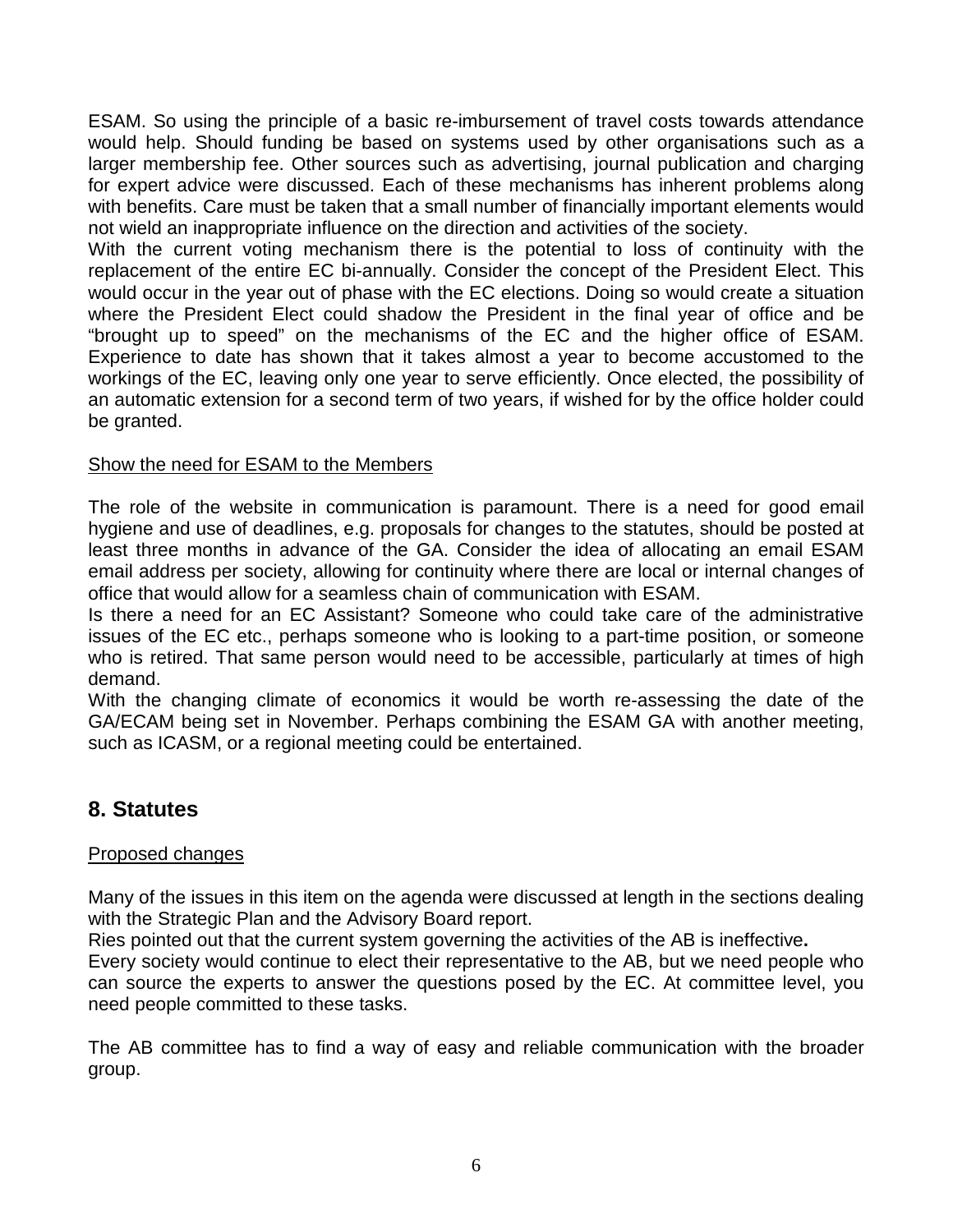ESAM. So using the principle of a basic re-imbursement of travel costs towards attendance would help. Should funding be based on systems used by other organisations such as a larger membership fee. Other sources such as advertising, journal publication and charging for expert advice were discussed. Each of these mechanisms has inherent problems along with benefits. Care must be taken that a small number of financially important elements would not wield an inappropriate influence on the direction and activities of the society.

With the current voting mechanism there is the potential to loss of continuity with the replacement of the entire EC bi-annually. Consider the concept of the President Elect. This would occur in the year out of phase with the EC elections. Doing so would create a situation where the President Elect could shadow the President in the final year of office and be "brought up to speed" on the mechanisms of the EC and the higher office of ESAM. Experience to date has shown that it takes almost a year to become accustomed to the workings of the EC, leaving only one year to serve efficiently. Once elected, the possibility of an automatic extension for a second term of two years, if wished for by the office holder could be granted.

### Show the need for ESAM to the Members

The role of the website in communication is paramount. There is a need for good email hygiene and use of deadlines, e.g. proposals for changes to the statutes, should be posted at least three months in advance of the GA. Consider the idea of allocating an email ESAM email address per society, allowing for continuity where there are local or internal changes of office that would allow for a seamless chain of communication with ESAM.

Is there a need for an EC Assistant? Someone who could take care of the administrative issues of the EC etc., perhaps someone who is looking to a part-time position, or someone who is retired. That same person would need to be accessible, particularly at times of high demand.

With the changing climate of economics it would be worth re-assessing the date of the GA/ECAM being set in November. Perhaps combining the ESAM GA with another meeting, such as ICASM, or a regional meeting could be entertained.

## **8. Statutes**

#### Proposed changes

Many of the issues in this item on the agenda were discussed at length in the sections dealing with the Strategic Plan and the Advisory Board report.

Ries pointed out that the current system governing the activities of the AB is ineffective**.** 

Every society would continue to elect their representative to the AB, but we need people who can source the experts to answer the questions posed by the EC. At committee level, you need people committed to these tasks.

The AB committee has to find a way of easy and reliable communication with the broader group.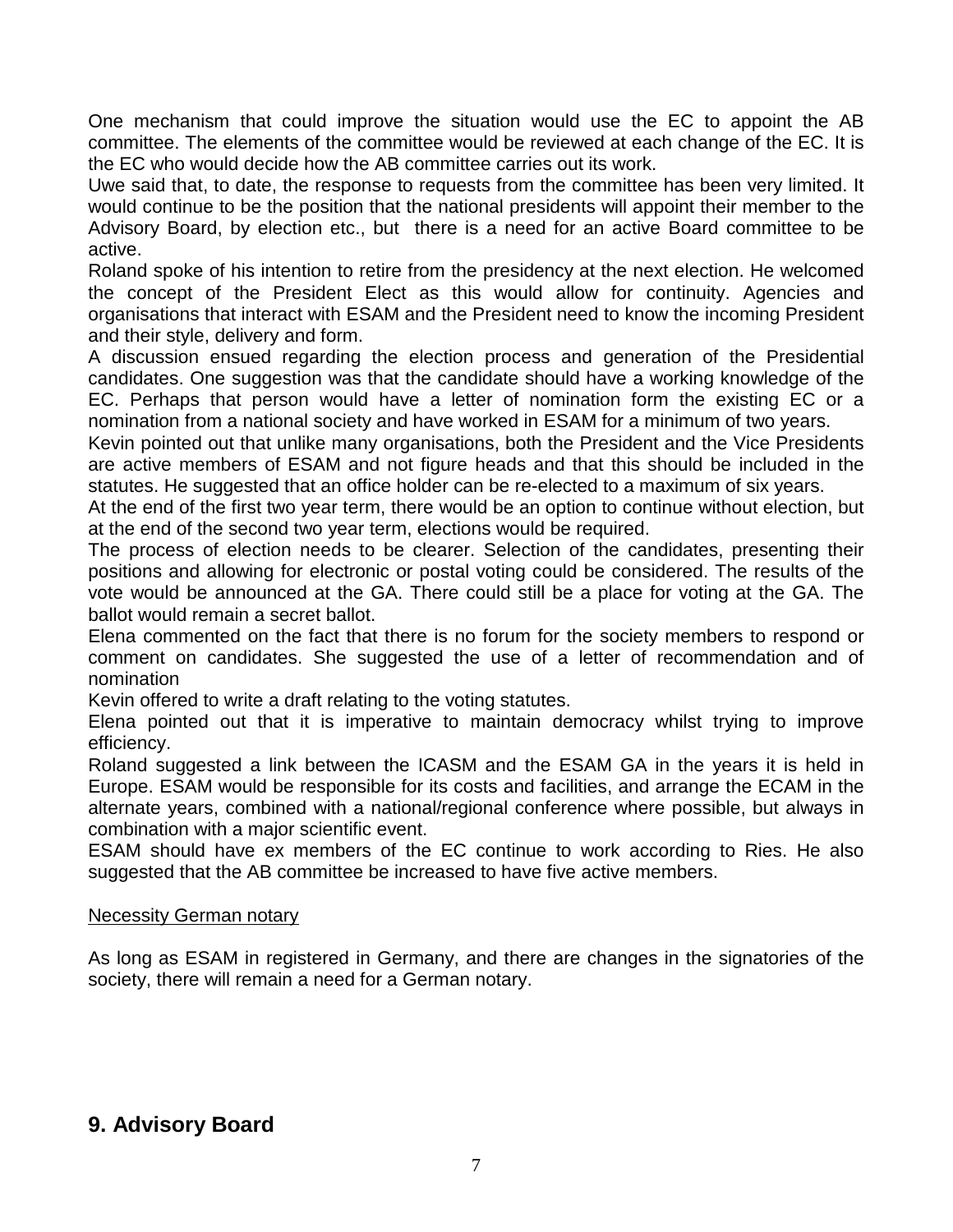One mechanism that could improve the situation would use the EC to appoint the AB committee. The elements of the committee would be reviewed at each change of the EC. It is the EC who would decide how the AB committee carries out its work.

Uwe said that, to date, the response to requests from the committee has been very limited. It would continue to be the position that the national presidents will appoint their member to the Advisory Board, by election etc., but there is a need for an active Board committee to be active.

Roland spoke of his intention to retire from the presidency at the next election. He welcomed the concept of the President Elect as this would allow for continuity. Agencies and organisations that interact with ESAM and the President need to know the incoming President and their style, delivery and form.

A discussion ensued regarding the election process and generation of the Presidential candidates. One suggestion was that the candidate should have a working knowledge of the EC. Perhaps that person would have a letter of nomination form the existing EC or a nomination from a national society and have worked in ESAM for a minimum of two years.

Kevin pointed out that unlike many organisations, both the President and the Vice Presidents are active members of ESAM and not figure heads and that this should be included in the statutes. He suggested that an office holder can be re-elected to a maximum of six years.

At the end of the first two year term, there would be an option to continue without election, but at the end of the second two year term, elections would be required.

The process of election needs to be clearer. Selection of the candidates, presenting their positions and allowing for electronic or postal voting could be considered. The results of the vote would be announced at the GA. There could still be a place for voting at the GA. The ballot would remain a secret ballot.

Elena commented on the fact that there is no forum for the society members to respond or comment on candidates. She suggested the use of a letter of recommendation and of nomination

Kevin offered to write a draft relating to the voting statutes.

Elena pointed out that it is imperative to maintain democracy whilst trying to improve efficiency.

Roland suggested a link between the ICASM and the ESAM GA in the years it is held in Europe. ESAM would be responsible for its costs and facilities, and arrange the ECAM in the alternate years, combined with a national/regional conference where possible, but always in combination with a major scientific event.

ESAM should have ex members of the EC continue to work according to Ries. He also suggested that the AB committee be increased to have five active members.

### Necessity German notary

As long as ESAM in registered in Germany, and there are changes in the signatories of the society, there will remain a need for a German notary.

## **9. Advisory Board**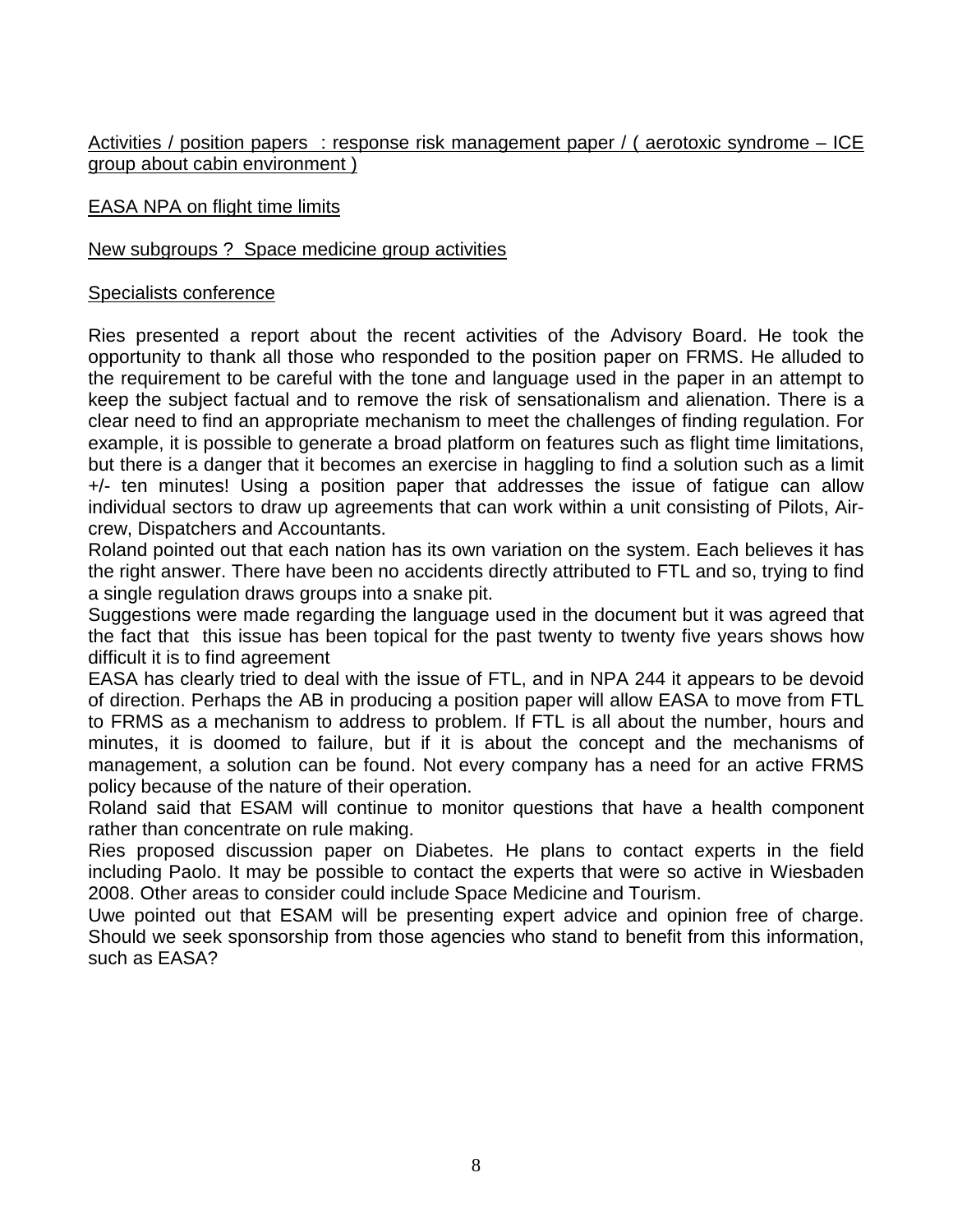### Activities / position papers : response risk management paper / ( aerotoxic syndrome – ICE group about cabin environment )

### EASA NPA on flight time limits

## New subgroups ? Space medicine group activities

### Specialists conference

Ries presented a report about the recent activities of the Advisory Board. He took the opportunity to thank all those who responded to the position paper on FRMS. He alluded to the requirement to be careful with the tone and language used in the paper in an attempt to keep the subject factual and to remove the risk of sensationalism and alienation. There is a clear need to find an appropriate mechanism to meet the challenges of finding regulation. For example, it is possible to generate a broad platform on features such as flight time limitations, but there is a danger that it becomes an exercise in haggling to find a solution such as a limit +/- ten minutes! Using a position paper that addresses the issue of fatigue can allow individual sectors to draw up agreements that can work within a unit consisting of Pilots, Aircrew, Dispatchers and Accountants.

Roland pointed out that each nation has its own variation on the system. Each believes it has the right answer. There have been no accidents directly attributed to FTL and so, trying to find a single regulation draws groups into a snake pit.

Suggestions were made regarding the language used in the document but it was agreed that the fact that this issue has been topical for the past twenty to twenty five years shows how difficult it is to find agreement

EASA has clearly tried to deal with the issue of FTL, and in NPA 244 it appears to be devoid of direction. Perhaps the AB in producing a position paper will allow EASA to move from FTL to FRMS as a mechanism to address to problem. If FTL is all about the number, hours and minutes, it is doomed to failure, but if it is about the concept and the mechanisms of management, a solution can be found. Not every company has a need for an active FRMS policy because of the nature of their operation.

Roland said that ESAM will continue to monitor questions that have a health component rather than concentrate on rule making.

Ries proposed discussion paper on Diabetes. He plans to contact experts in the field including Paolo. It may be possible to contact the experts that were so active in Wiesbaden 2008. Other areas to consider could include Space Medicine and Tourism.

Uwe pointed out that ESAM will be presenting expert advice and opinion free of charge. Should we seek sponsorship from those agencies who stand to benefit from this information, such as EASA?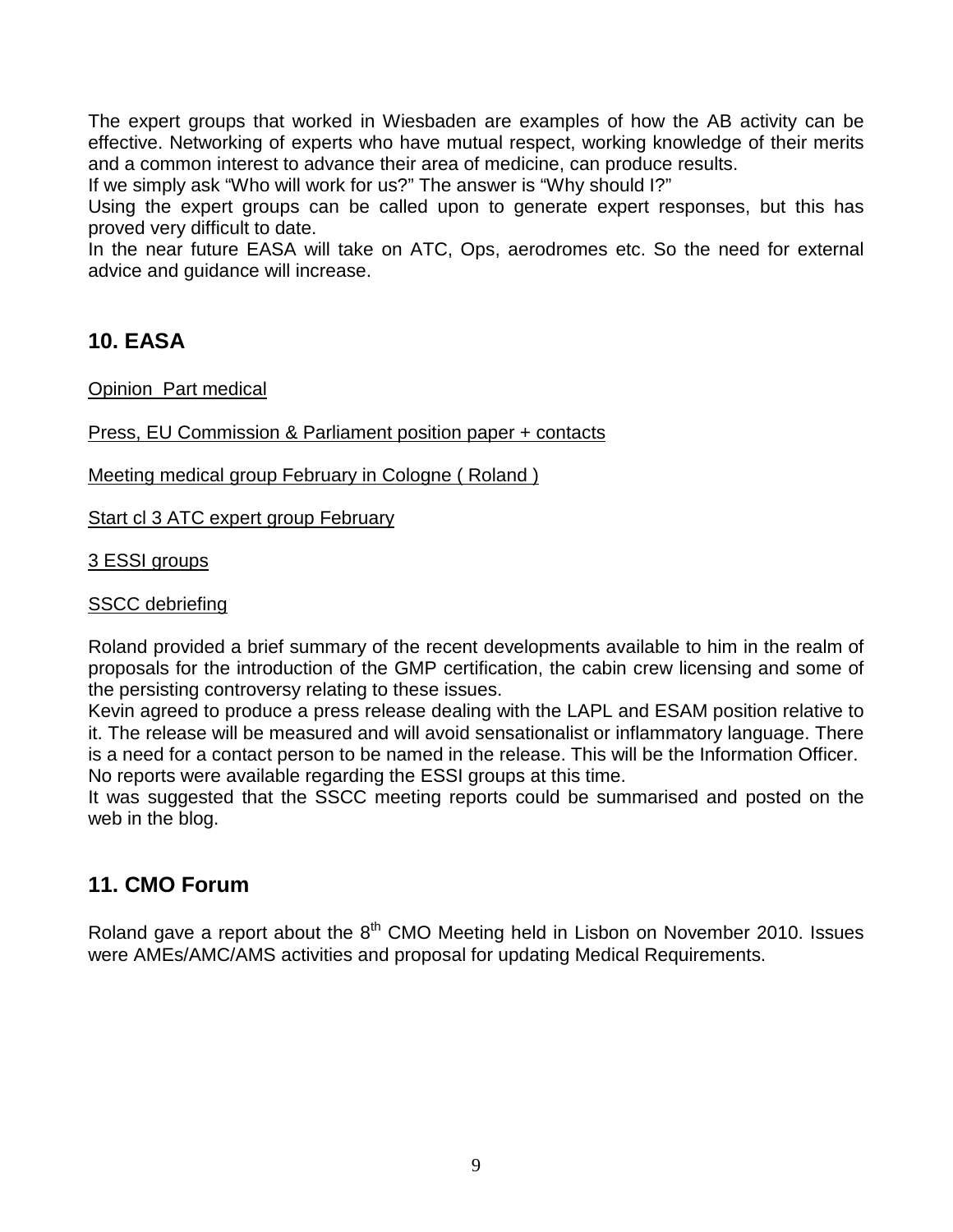The expert groups that worked in Wiesbaden are examples of how the AB activity can be effective. Networking of experts who have mutual respect, working knowledge of their merits and a common interest to advance their area of medicine, can produce results.

If we simply ask "Who will work for us?" The answer is "Why should I?"

Using the expert groups can be called upon to generate expert responses, but this has proved very difficult to date.

In the near future EASA will take on ATC, Ops, aerodromes etc. So the need for external advice and guidance will increase.

## **10. EASA**

Opinion Part medical

Press, EU Commission & Parliament position paper + contacts

Meeting medical group February in Cologne ( Roland )

Start cl 3 ATC expert group February

3 ESSI groups

## **SSCC** debriefing

Roland provided a brief summary of the recent developments available to him in the realm of proposals for the introduction of the GMP certification, the cabin crew licensing and some of the persisting controversy relating to these issues.

Kevin agreed to produce a press release dealing with the LAPL and ESAM position relative to it. The release will be measured and will avoid sensationalist or inflammatory language. There is a need for a contact person to be named in the release. This will be the Information Officer. No reports were available regarding the ESSI groups at this time.

It was suggested that the SSCC meeting reports could be summarised and posted on the web in the blog.

## **11. CMO Forum**

Roland gave a report about the  $8<sup>th</sup>$  CMO Meeting held in Lisbon on November 2010. Issues were AMEs/AMC/AMS activities and proposal for updating Medical Requirements.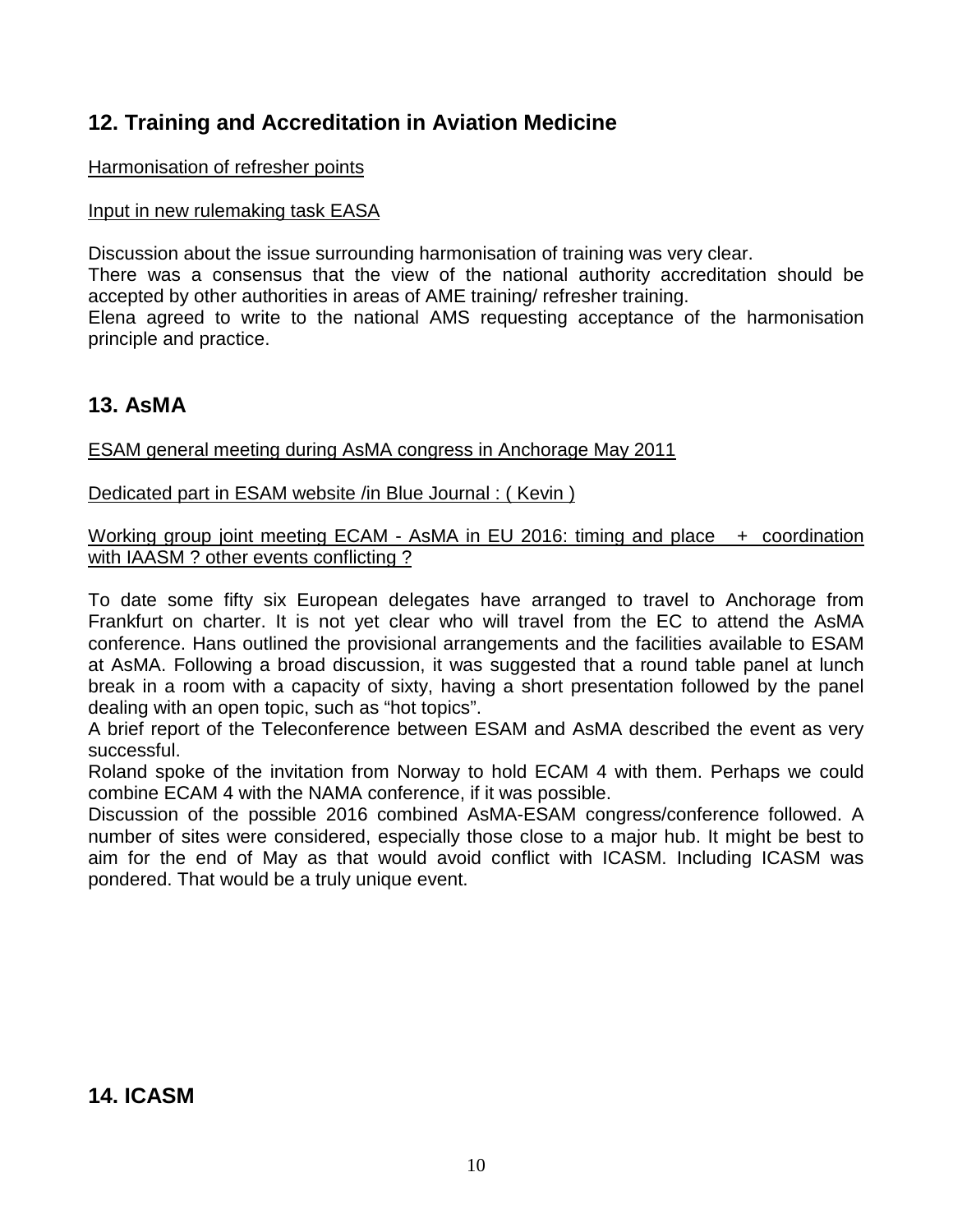## **12. Training and Accreditation in Aviation Medicine**

## Harmonisation of refresher points

## Input in new rulemaking task EASA

Discussion about the issue surrounding harmonisation of training was very clear.

There was a consensus that the view of the national authority accreditation should be accepted by other authorities in areas of AME training/ refresher training.

Elena agreed to write to the national AMS requesting acceptance of the harmonisation principle and practice.

## **13. AsMA**

ESAM general meeting during AsMA congress in Anchorage May 2011

Dedicated part in ESAM website /in Blue Journal : ( Kevin )

Working group joint meeting ECAM - AsMA in EU 2016: timing and place + coordination with IAASM ? other events conflicting ?

To date some fifty six European delegates have arranged to travel to Anchorage from Frankfurt on charter. It is not yet clear who will travel from the EC to attend the AsMA conference. Hans outlined the provisional arrangements and the facilities available to ESAM at AsMA. Following a broad discussion, it was suggested that a round table panel at lunch break in a room with a capacity of sixty, having a short presentation followed by the panel dealing with an open topic, such as "hot topics".

A brief report of the Teleconference between ESAM and AsMA described the event as very successful.

Roland spoke of the invitation from Norway to hold ECAM 4 with them. Perhaps we could combine ECAM 4 with the NAMA conference, if it was possible.

Discussion of the possible 2016 combined AsMA-ESAM congress/conference followed. A number of sites were considered, especially those close to a major hub. It might be best to aim for the end of May as that would avoid conflict with ICASM. Including ICASM was pondered. That would be a truly unique event.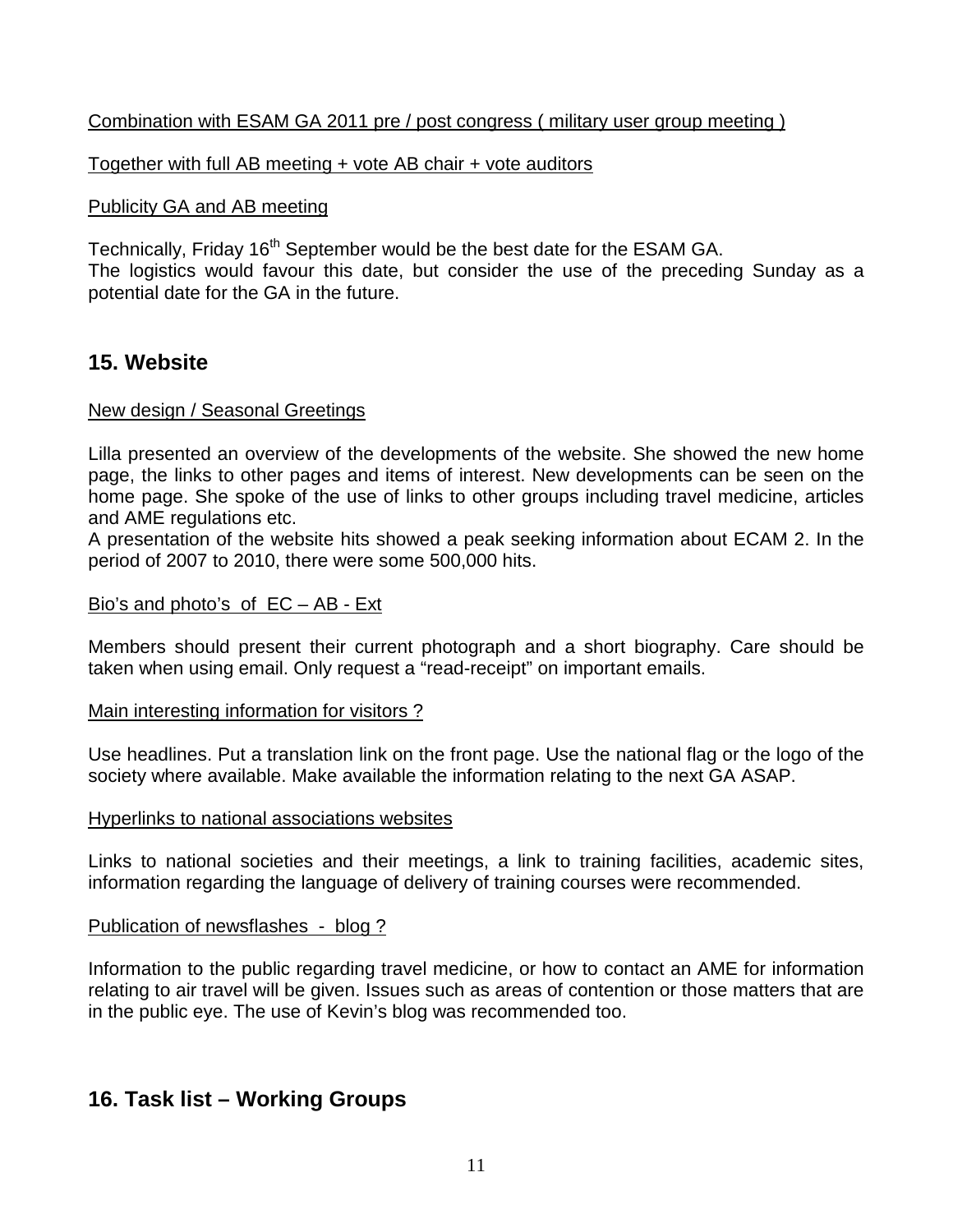## Combination with ESAM GA 2011 pre / post congress ( military user group meeting )

Together with full AB meeting + vote AB chair + vote auditors

#### Publicity GA and AB meeting

Technically, Friday 16<sup>th</sup> September would be the best date for the ESAM GA. The logistics would favour this date, but consider the use of the preceding Sunday as a potential date for the GA in the future.

## **15. Website**

#### New design / Seasonal Greetings

Lilla presented an overview of the developments of the website. She showed the new home page, the links to other pages and items of interest. New developments can be seen on the home page. She spoke of the use of links to other groups including travel medicine, articles and AME regulations etc.

A presentation of the website hits showed a peak seeking information about ECAM 2. In the period of 2007 to 2010, there were some 500,000 hits.

#### Bio's and photo's of EC – AB - Ext

Members should present their current photograph and a short biography. Care should be taken when using email. Only request a "read-receipt" on important emails.

#### Main interesting information for visitors ?

Use headlines. Put a translation link on the front page. Use the national flag or the logo of the society where available. Make available the information relating to the next GA ASAP.

#### Hyperlinks to national associations websites

Links to national societies and their meetings, a link to training facilities, academic sites, information regarding the language of delivery of training courses were recommended.

#### Publication of newsflashes - blog ?

Information to the public regarding travel medicine, or how to contact an AME for information relating to air travel will be given. Issues such as areas of contention or those matters that are in the public eye. The use of Kevin's blog was recommended too.

## **16. Task list – Working Groups**